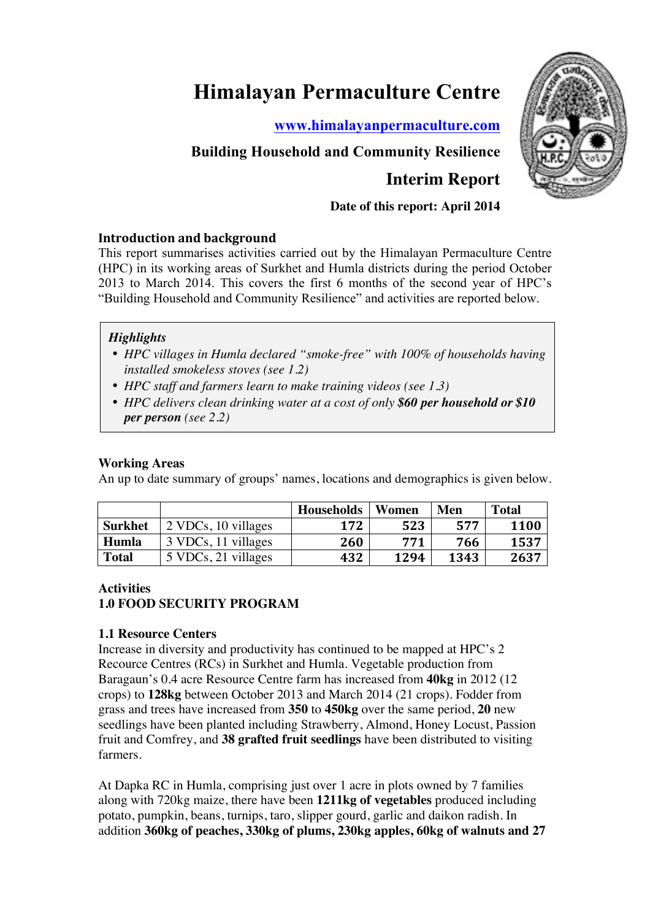# **Himalayan Permaculture Centre**

**www.himalayanpermaculture.com**



# **Interim Report**

# **Date of this report: April 2014**

# **Introduction and background**

This report summarises activities carried out by the Himalayan Permaculture Centre (HPC) in its working areas of Surkhet and Humla districts during the period October 2013 to March 2014. This covers the first 6 months of the second year of HPC's "Building Household and Community Resilience" and activities are reported below.

# *Highlights*

- *HPC villages in Humla declared "smoke-free" with 100% of households having installed smokeless stoves (see 1.2)*
- *HPC staff and farmers learn to make training videos (see 1.3)*
- *HPC delivers clean drinking water at a cost of only \$60 per household or \$10 per person (see 2.2)*

# **Working Areas**

An up to date summary of groups' names, locations and demographics is given below.

|                |                     | <b>Households</b> | Women | Men  | <b>Total</b> |
|----------------|---------------------|-------------------|-------|------|--------------|
| <b>Surkhet</b> | 2 VDCs, 10 villages | 172               | 523   | 577  | 1100         |
| Humla          | 3 VDCs, 11 villages | 260               | 771   | 766  | 1537         |
| <b>Total</b>   | 5 VDCs, 21 villages | 432               | 1294  | 1343 | 2637         |

# **Activities**

# **1.0 FOOD SECURITY PROGRAM**

# **1.1 Resource Centers**

Increase in diversity and productivity has continued to be mapped at HPC's 2 Recource Centres (RCs) in Surkhet and Humla. Vegetable production from Baragaun's 0.4 acre Resource Centre farm has increased from **40kg** in 2012 (12 crops) to **128kg** between October 2013 and March 2014 (21 crops). Fodder from grass and trees have increased from **350** to **450kg** over the same period, **20** new seedlings have been planted including Strawberry, Almond, Honey Locust, Passion fruit and Comfrey, and **38 grafted fruit seedlings** have been distributed to visiting farmers.

At Dapka RC in Humla, comprising just over 1 acre in plots owned by 7 families along with 720kg maize, there have been **1211kg of vegetables** produced including potato, pumpkin, beans, turnips, taro, slipper gourd, garlic and daikon radish. In addition **360kg of peaches, 330kg of plums, 230kg apples, 60kg of walnuts and 27** 

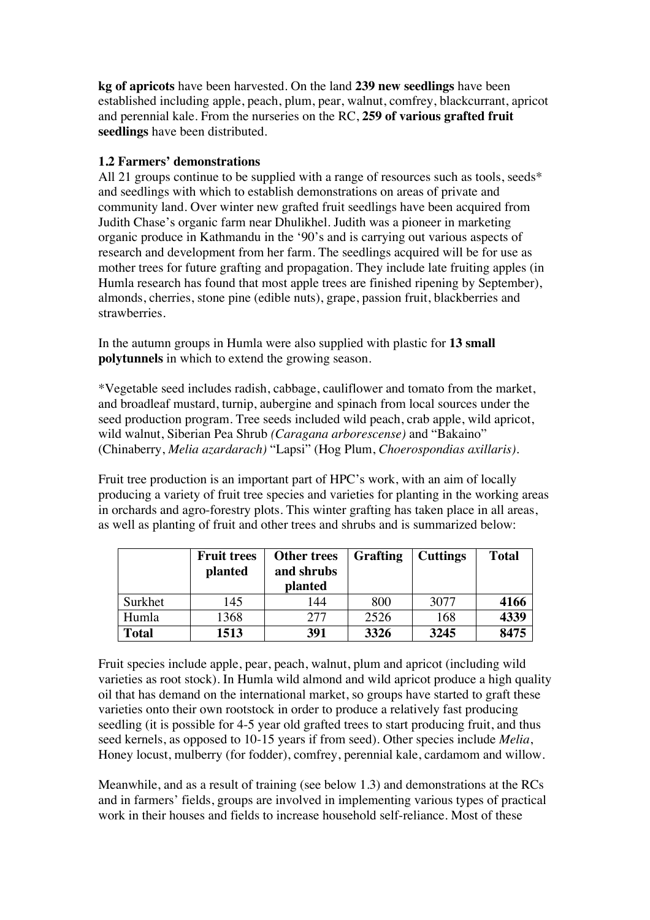**kg of apricots** have been harvested. On the land **239 new seedlings** have been established including apple, peach, plum, pear, walnut, comfrey, blackcurrant, apricot and perennial kale. From the nurseries on the RC, **259 of various grafted fruit seedlings** have been distributed.

# **1.2 Farmers' demonstrations**

All 21 groups continue to be supplied with a range of resources such as tools, seeds\* and seedlings with which to establish demonstrations on areas of private and community land. Over winter new grafted fruit seedlings have been acquired from Judith Chase's organic farm near Dhulikhel. Judith was a pioneer in marketing organic produce in Kathmandu in the '90's and is carrying out various aspects of research and development from her farm. The seedlings acquired will be for use as mother trees for future grafting and propagation. They include late fruiting apples (in Humla research has found that most apple trees are finished ripening by September), almonds, cherries, stone pine (edible nuts), grape, passion fruit, blackberries and strawberries.

In the autumn groups in Humla were also supplied with plastic for **13 small polytunnels** in which to extend the growing season.

\*Vegetable seed includes radish, cabbage, cauliflower and tomato from the market, and broadleaf mustard, turnip, aubergine and spinach from local sources under the seed production program. Tree seeds included wild peach, crab apple, wild apricot, wild walnut, Siberian Pea Shrub *(Caragana arborescense)* and "Bakaino" (Chinaberry, *Melia azardarach)* "Lapsi" (Hog Plum, *Choerospondias axillaris)*.

Fruit tree production is an important part of HPC's work, with an aim of locally producing a variety of fruit tree species and varieties for planting in the working areas in orchards and agro-forestry plots. This winter grafting has taken place in all areas, as well as planting of fruit and other trees and shrubs and is summarized below:

|              | <b>Fruit trees</b><br>planted | <b>Other trees</b><br>and shrubs<br>planted | <b>Grafting</b> | <b>Cuttings</b> | <b>Total</b> |
|--------------|-------------------------------|---------------------------------------------|-----------------|-----------------|--------------|
| Surkhet      | 145                           | 144                                         | 800             | 3077            | 4166         |
| Humla        | 1368                          | 277                                         | 2526            | 168             | 4339         |
| <b>Total</b> | 1513                          | 391                                         | 3326            | 3245            | 8475         |

Fruit species include apple, pear, peach, walnut, plum and apricot (including wild varieties as root stock). In Humla wild almond and wild apricot produce a high quality oil that has demand on the international market, so groups have started to graft these varieties onto their own rootstock in order to produce a relatively fast producing seedling (it is possible for 4-5 year old grafted trees to start producing fruit, and thus seed kernels, as opposed to 10-15 years if from seed). Other species include *Melia*, Honey locust, mulberry (for fodder), comfrey, perennial kale, cardamom and willow.

Meanwhile, and as a result of training (see below 1.3) and demonstrations at the RCs and in farmers' fields, groups are involved in implementing various types of practical work in their houses and fields to increase household self-reliance. Most of these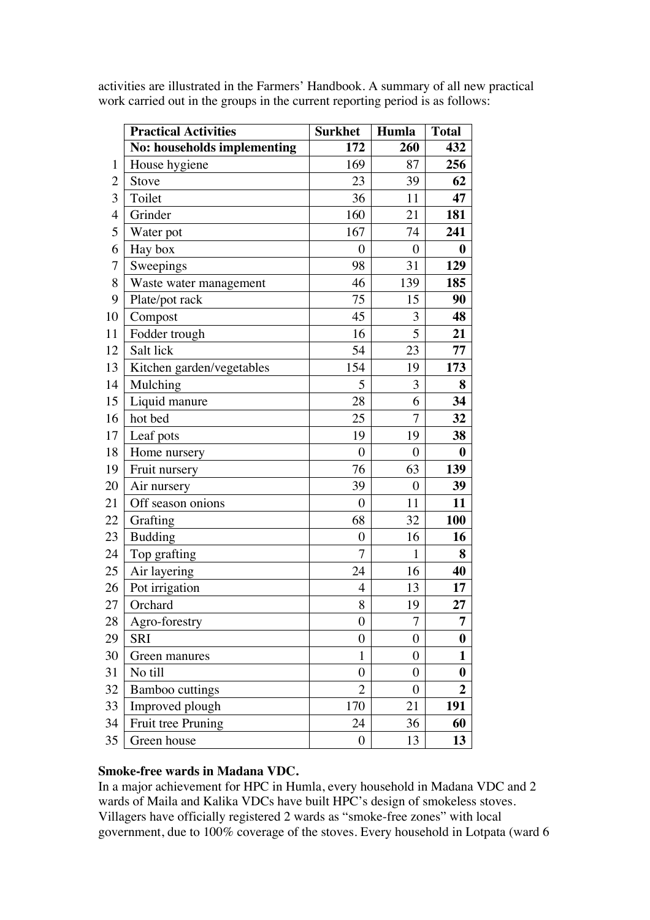|                | <b>Practical Activities</b> | <b>Surkhet</b>   | Humla            | <b>Total</b>     |
|----------------|-----------------------------|------------------|------------------|------------------|
|                | No: households implementing | 172              | 260              | 432              |
| 1              | House hygiene               | 169              | 87               | 256              |
| $\overline{2}$ | Stove                       | 23               | 39               | 62               |
| 3              | Toilet                      | 36               | 11               | 47               |
| $\overline{4}$ | Grinder                     | 160              | 21               | 181              |
| 5              | Water pot                   | 167              | 74               | 241              |
| 6              | Hay box                     | $\overline{0}$   | $\boldsymbol{0}$ | $\boldsymbol{0}$ |
| 7              | Sweepings                   | 98               | 31               | 129              |
| 8              | Waste water management      | 46               | 139              | 185              |
| 9              | Plate/pot rack              | 75               | 15               | 90               |
| 10             | Compost                     | 45               | 3                | 48               |
| 11             | Fodder trough               | 16               | 5                | 21               |
| 12             | Salt lick                   | 54               | 23               | 77               |
| 13             | Kitchen garden/vegetables   | 154              | 19               | 173              |
| 14             | Mulching                    | 5                | 3                | 8                |
| 15             | Liquid manure               | 28               | 6                | 34               |
| 16             | hot bed                     | 25               | $\overline{7}$   | 32               |
| 17             | Leaf pots                   | 19               | 19               | 38               |
| 18             | Home nursery                | $\overline{0}$   | $\overline{0}$   | $\boldsymbol{0}$ |
| 19             | Fruit nursery               | 76               | 63               | 139              |
| 20             | Air nursery                 | 39               | $\boldsymbol{0}$ | 39               |
| 21             | Off season onions           | $\overline{0}$   | 11               | 11               |
| 22             | Grafting                    | 68               | 32               | <b>100</b>       |
| 23             | <b>Budding</b>              | $\boldsymbol{0}$ | 16               | 16               |
| 24             | Top grafting                | 7                | 1                | 8                |
| 25             | Air layering                | 24               | 16               | 40               |
| 26             | Pot irrigation              | $\overline{4}$   | 13               | 17               |
| 27             | Orchard                     | 8                | 19               | 27               |
| 28             | Agro-forestry               | $\boldsymbol{0}$ | $\overline{7}$   | 7                |
| 29             | <b>SRI</b>                  | $\boldsymbol{0}$ | $\boldsymbol{0}$ | 0                |
| 30             | Green manures               | $\mathbf{1}$     | $\overline{0}$   | 1                |
| 31             | No till                     | 0                | $\boldsymbol{0}$ | 0                |
| 32             | <b>Bamboo cuttings</b>      | $\overline{2}$   | $\boldsymbol{0}$ | $\boldsymbol{2}$ |
| 33             | Improved plough             | 170              | 21               | 191              |
| 34             | Fruit tree Pruning          | 24               | 36               | 60               |
| 35             | Green house                 | $\boldsymbol{0}$ | 13               | 13               |

activities are illustrated in the Farmers' Handbook. A summary of all new practical work carried out in the groups in the current reporting period is as follows:

#### **Smoke-free wards in Madana VDC.**

In a major achievement for HPC in Humla, every household in Madana VDC and 2 wards of Maila and Kalika VDCs have built HPC's design of smokeless stoves. Villagers have officially registered 2 wards as "smoke-free zones" with local government, due to 100% coverage of the stoves. Every household in Lotpata (ward 6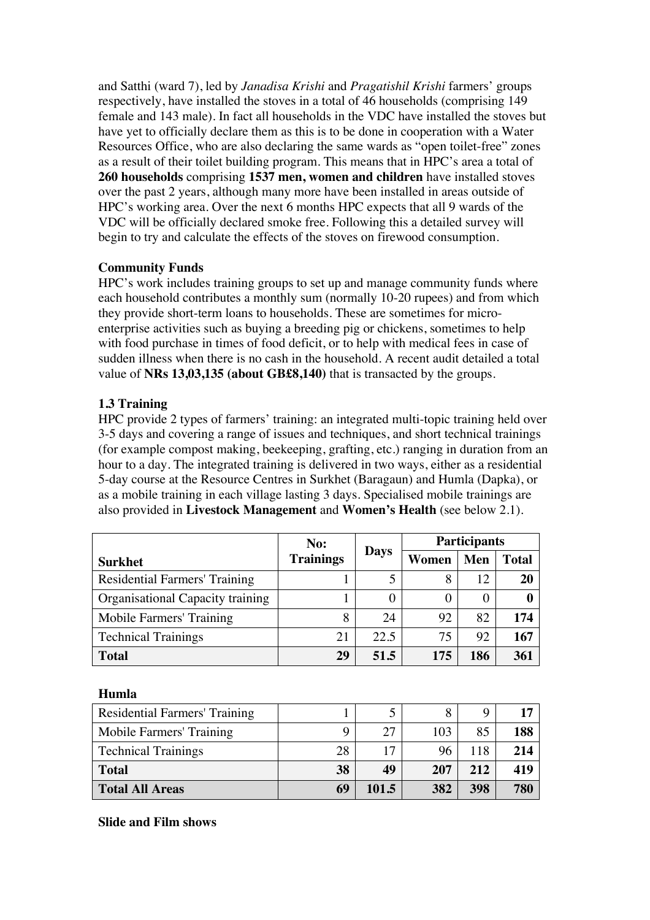and Satthi (ward 7), led by *Janadisa Krishi* and *Pragatishil Krishi* farmers' groups respectively, have installed the stoves in a total of 46 households (comprising 149 female and 143 male). In fact all households in the VDC have installed the stoves but have yet to officially declare them as this is to be done in cooperation with a Water Resources Office, who are also declaring the same wards as "open toilet-free" zones as a result of their toilet building program. This means that in HPC's area a total of **260 households** comprising **1537 men, women and children** have installed stoves over the past 2 years, although many more have been installed in areas outside of HPC's working area. Over the next 6 months HPC expects that all 9 wards of the VDC will be officially declared smoke free. Following this a detailed survey will begin to try and calculate the effects of the stoves on firewood consumption.

# **Community Funds**

HPC's work includes training groups to set up and manage community funds where each household contributes a monthly sum (normally 10-20 rupees) and from which they provide short-term loans to households. These are sometimes for microenterprise activities such as buying a breeding pig or chickens, sometimes to help with food purchase in times of food deficit, or to help with medical fees in case of sudden illness when there is no cash in the household. A recent audit detailed a total value of **NRs 13,03,135 (about GB£8,140)** that is transacted by the groups.

# **1.3 Training**

HPC provide 2 types of farmers' training: an integrated multi-topic training held over 3-5 days and covering a range of issues and techniques, and short technical trainings (for example compost making, beekeeping, grafting, etc.) ranging in duration from an hour to a day. The integrated training is delivered in two ways, either as a residential 5-day course at the Resource Centres in Surkhet (Baragaun) and Humla (Dapka), or as a mobile training in each village lasting 3 days. Specialised mobile trainings are also provided in **Livestock Management** and **Women's Health** (see below 2.1).

|                                      | No:              |             | <b>Participants</b> |     |              |  |
|--------------------------------------|------------------|-------------|---------------------|-----|--------------|--|
| <b>Surkhet</b>                       | <b>Trainings</b> | <b>Days</b> | Women               | Men | <b>Total</b> |  |
| <b>Residential Farmers' Training</b> |                  | 5           | 8                   | 12  | 20           |  |
| Organisational Capacity training     |                  |             | 0                   | 0   |              |  |
| Mobile Farmers' Training             | 8                | 24          | 92                  | 82  | 174          |  |
| <b>Technical Trainings</b>           | 21               | 22.5        | 75                  | 92  | 167          |  |
| <b>Total</b>                         | 29               | 51.5        | 175                 | 186 | 361          |  |

**Humla**

| <b>Residential Farmers' Training</b> |    |       |     |     |     |
|--------------------------------------|----|-------|-----|-----|-----|
| Mobile Farmers' Training             | Q  | 27    | 103 | 85  | 188 |
| <b>Technical Trainings</b>           | 28 | 17    |     | 118 | 214 |
| <b>Total</b>                         | 38 | 49    | 207 | 212 | 419 |
| <b>Total All Areas</b>               | 69 | 101.5 | 382 | 398 | 780 |

**Slide and Film shows**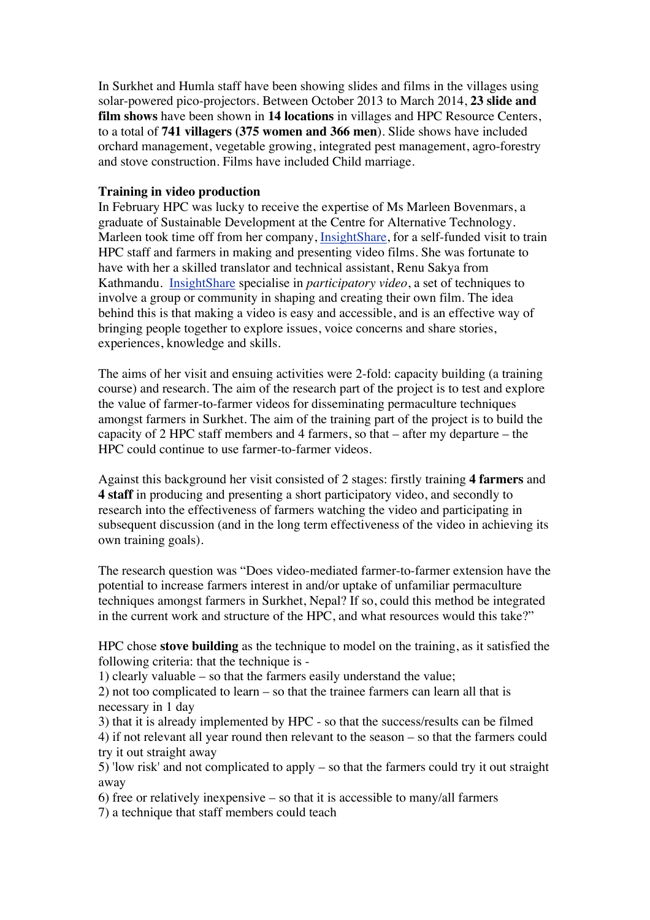In Surkhet and Humla staff have been showing slides and films in the villages using solar-powered pico-projectors. Between October 2013 to March 2014, **23 slide and film shows** have been shown in **14 locations** in villages and HPC Resource Centers, to a total of **741 villagers (375 women and 366 men**). Slide shows have included orchard management, vegetable growing, integrated pest management, agro-forestry and stove construction. Films have included Child marriage.

#### **Training in video production**

In February HPC was lucky to receive the expertise of Ms Marleen Bovenmars, a graduate of Sustainable Development at the Centre for Alternative Technology. Marleen took time off from her company, InsightShare, for a self-funded visit to train HPC staff and farmers in making and presenting video films. She was fortunate to have with her a skilled translator and technical assistant, Renu Sakya from Kathmandu. InsightShare specialise in *participatory video*, a set of techniques to involve a group or community in shaping and creating their own film. The idea behind this is that making a video is easy and accessible, and is an effective way of bringing people together to explore issues, voice concerns and share stories, experiences, knowledge and skills.

The aims of her visit and ensuing activities were 2-fold: capacity building (a training course) and research. The aim of the research part of the project is to test and explore the value of farmer-to-farmer videos for disseminating permaculture techniques amongst farmers in Surkhet. The aim of the training part of the project is to build the capacity of 2 HPC staff members and 4 farmers, so that – after my departure – the HPC could continue to use farmer-to-farmer videos.

Against this background her visit consisted of 2 stages: firstly training **4 farmers** and **4 staff** in producing and presenting a short participatory video, and secondly to research into the effectiveness of farmers watching the video and participating in subsequent discussion (and in the long term effectiveness of the video in achieving its own training goals).

The research question was "Does video-mediated farmer-to-farmer extension have the potential to increase farmers interest in and/or uptake of unfamiliar permaculture techniques amongst farmers in Surkhet, Nepal? If so, could this method be integrated in the current work and structure of the HPC, and what resources would this take?"

HPC chose **stove building** as the technique to model on the training, as it satisfied the following criteria: that the technique is -

1) clearly valuable – so that the farmers easily understand the value;

2) not too complicated to learn – so that the trainee farmers can learn all that is necessary in 1 day

3) that it is already implemented by HPC - so that the success/results can be filmed 4) if not relevant all year round then relevant to the season – so that the farmers could try it out straight away

5) 'low risk' and not complicated to apply – so that the farmers could try it out straight away

6) free or relatively inexpensive – so that it is accessible to many/all farmers 7) a technique that staff members could teach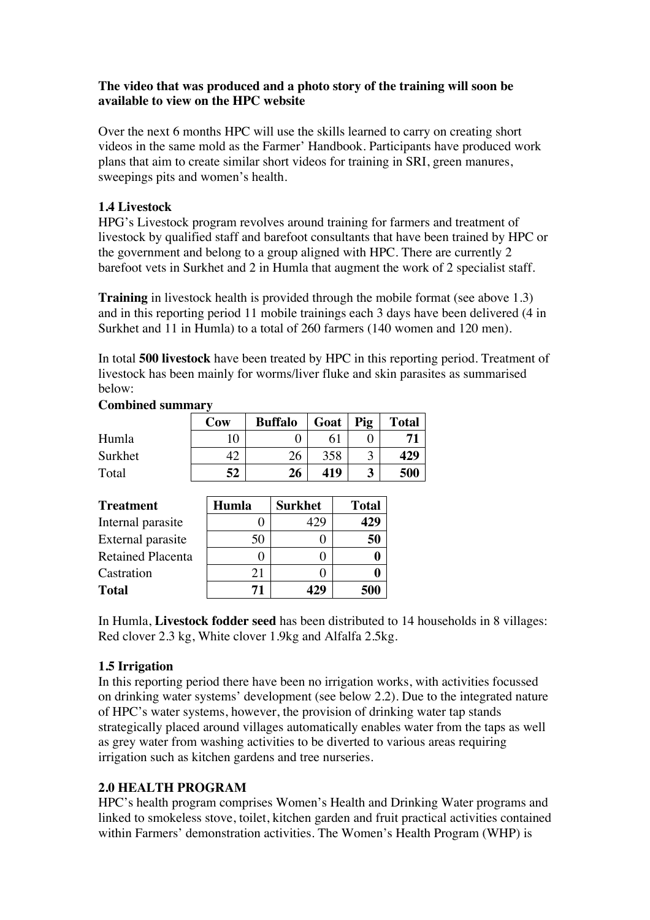#### **The video that was produced and a photo story of the training will soon be available to view on the HPC website**

Over the next 6 months HPC will use the skills learned to carry on creating short videos in the same mold as the Farmer' Handbook. Participants have produced work plans that aim to create similar short videos for training in SRI, green manures, sweepings pits and women's health.

# **1.4 Livestock**

HPG's Livestock program revolves around training for farmers and treatment of livestock by qualified staff and barefoot consultants that have been trained by HPC or the government and belong to a group aligned with HPC. There are currently 2 barefoot vets in Surkhet and 2 in Humla that augment the work of 2 specialist staff.

**Training** in livestock health is provided through the mobile format (see above 1.3) and in this reporting period 11 mobile trainings each 3 days have been delivered (4 in Surkhet and 11 in Humla) to a total of 260 farmers (140 women and 120 men).

In total **500 livestock** have been treated by HPC in this reporting period. Treatment of livestock has been mainly for worms/liver fluke and skin parasites as summarised below:

|         | Cow | <b>Buffalo</b> | Goat            | Pig | <b>Total</b> |
|---------|-----|----------------|-----------------|-----|--------------|
| Humla   |     |                | .6 <sup>1</sup> |     |              |
| Surkhet |     | 26             | 358             |     | 429          |
| Total   | 52  | 26             | 419             |     | 500          |

#### **Combined summary**

| <b>Treatment</b>         | Humla | <b>Surkhet</b> | <b>Total</b> |
|--------------------------|-------|----------------|--------------|
| Internal parasite        |       | 42.            | 429          |
| External parasite        | 50    |                | 50           |
| <b>Retained Placenta</b> |       |                |              |
| Castration               | 21    |                |              |
| <b>Total</b>             | 71    | 129            | 500          |

In Humla, **Livestock fodder seed** has been distributed to 14 households in 8 villages: Red clover 2.3 kg, White clover 1.9kg and Alfalfa 2.5kg.

# **1.5 Irrigation**

In this reporting period there have been no irrigation works, with activities focussed on drinking water systems' development (see below 2.2). Due to the integrated nature of HPC's water systems, however, the provision of drinking water tap stands strategically placed around villages automatically enables water from the taps as well as grey water from washing activities to be diverted to various areas requiring irrigation such as kitchen gardens and tree nurseries.

# **2.0 HEALTH PROGRAM**

HPC's health program comprises Women's Health and Drinking Water programs and linked to smokeless stove, toilet, kitchen garden and fruit practical activities contained within Farmers' demonstration activities. The Women's Health Program (WHP) is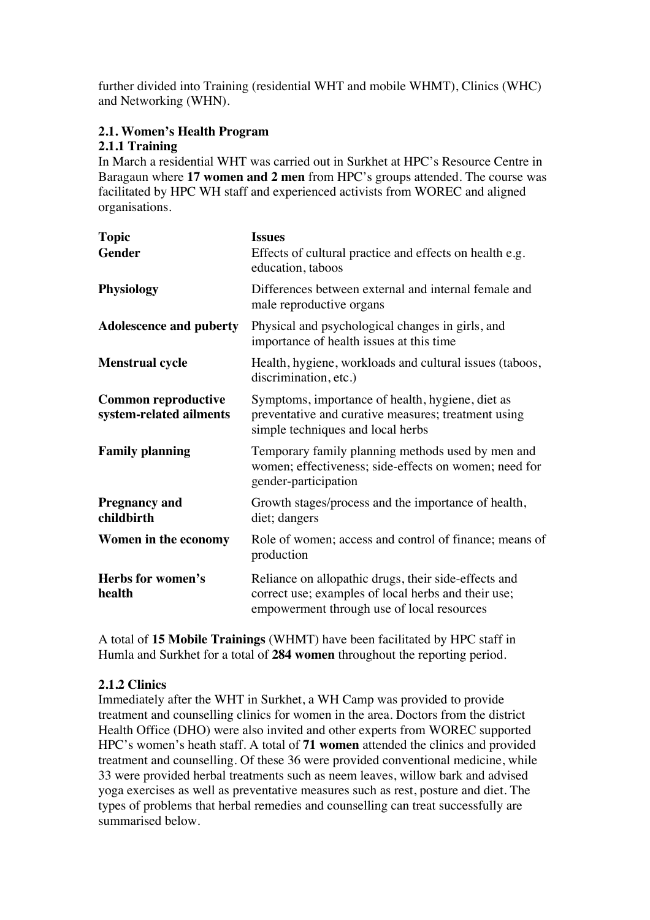further divided into Training (residential WHT and mobile WHMT), Clinics (WHC) and Networking (WHN).

# **2.1. Women's Health Program**

#### **2.1.1 Training**

In March a residential WHT was carried out in Surkhet at HPC's Resource Centre in Baragaun where **17 women and 2 men** from HPC's groups attended. The course was facilitated by HPC WH staff and experienced activists from WOREC and aligned organisations.

| <b>Topic</b>                                          | <b>Issues</b>                                                                                                                                             |
|-------------------------------------------------------|-----------------------------------------------------------------------------------------------------------------------------------------------------------|
| <b>Gender</b>                                         | Effects of cultural practice and effects on health e.g.<br>education, taboos                                                                              |
| <b>Physiology</b>                                     | Differences between external and internal female and<br>male reproductive organs                                                                          |
| <b>Adolescence and puberty</b>                        | Physical and psychological changes in girls, and<br>importance of health issues at this time                                                              |
| <b>Menstrual cycle</b>                                | Health, hygiene, workloads and cultural issues (taboos,<br>discrimination, etc.)                                                                          |
| <b>Common reproductive</b><br>system-related ailments | Symptoms, importance of health, hygiene, diet as<br>preventative and curative measures; treatment using<br>simple techniques and local herbs              |
| <b>Family planning</b>                                | Temporary family planning methods used by men and<br>women; effectiveness; side-effects on women; need for<br>gender-participation                        |
| <b>Pregnancy and</b><br>childbirth                    | Growth stages/process and the importance of health,<br>diet; dangers                                                                                      |
| Women in the economy                                  | Role of women; access and control of finance; means of<br>production                                                                                      |
| Herbs for women's<br>health                           | Reliance on allopathic drugs, their side-effects and<br>correct use; examples of local herbs and their use;<br>empowerment through use of local resources |

A total of **15 Mobile Trainings** (WHMT) have been facilitated by HPC staff in Humla and Surkhet for a total of **284 women** throughout the reporting period.

# **2.1.2 Clinics**

Immediately after the WHT in Surkhet, a WH Camp was provided to provide treatment and counselling clinics for women in the area. Doctors from the district Health Office (DHO) were also invited and other experts from WOREC supported HPC's women's heath staff. A total of **71 women** attended the clinics and provided treatment and counselling. Of these 36 were provided conventional medicine, while 33 were provided herbal treatments such as neem leaves, willow bark and advised yoga exercises as well as preventative measures such as rest, posture and diet. The types of problems that herbal remedies and counselling can treat successfully are summarised below.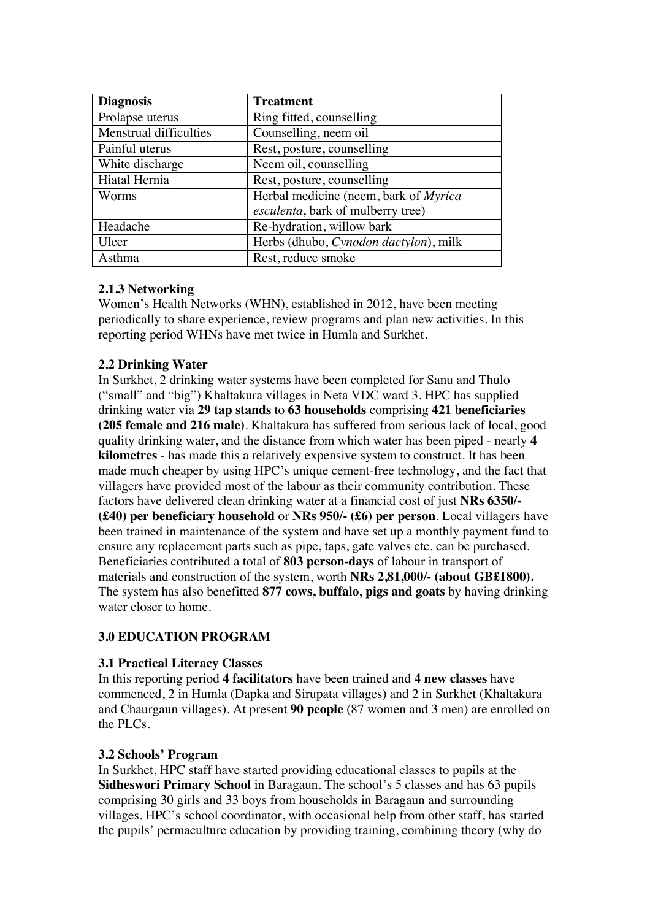| <b>Diagnosis</b>       | <b>Treatment</b>                      |
|------------------------|---------------------------------------|
| Prolapse uterus        | Ring fitted, counselling              |
| Menstrual difficulties | Counselling, neem oil                 |
| Painful uterus         | Rest, posture, counselling            |
| White discharge        | Neem oil, counselling                 |
| Hiatal Hernia          | Rest, posture, counselling            |
| Worms                  | Herbal medicine (neem, bark of Myrica |
|                        | esculenta, bark of mulberry tree)     |
| Headache               | Re-hydration, willow bark             |
| Ulcer                  | Herbs (dhubo, Cynodon dactylon), milk |
| Asthma                 | Rest, reduce smoke                    |

# **2.1.3 Networking**

Women's Health Networks (WHN), established in 2012, have been meeting periodically to share experience, review programs and plan new activities. In this reporting period WHNs have met twice in Humla and Surkhet.

# **2.2 Drinking Water**

In Surkhet, 2 drinking water systems have been completed for Sanu and Thulo ("small" and "big") Khaltakura villages in Neta VDC ward 3. HPC has supplied drinking water via **29 tap stands** to **63 households** comprising **421 beneficiaries (205 female and 216 male)**. Khaltakura has suffered from serious lack of local, good quality drinking water, and the distance from which water has been piped - nearly **4 kilometres** - has made this a relatively expensive system to construct. It has been made much cheaper by using HPC's unique cement-free technology, and the fact that villagers have provided most of the labour as their community contribution. These factors have delivered clean drinking water at a financial cost of just **NRs 6350/- (£40) per beneficiary household** or **NRs 950/- (£6) per person**. Local villagers have been trained in maintenance of the system and have set up a monthly payment fund to ensure any replacement parts such as pipe, taps, gate valves etc. can be purchased. Beneficiaries contributed a total of **803 person-days** of labour in transport of materials and construction of the system, worth **NRs 2,81,000/- (about GB£1800).** The system has also benefitted **877 cows, buffalo, pigs and goats** by having drinking water closer to home.

# **3.0 EDUCATION PROGRAM**

#### **3.1 Practical Literacy Classes**

In this reporting period **4 facilitators** have been trained and **4 new classes** have commenced, 2 in Humla (Dapka and Sirupata villages) and 2 in Surkhet (Khaltakura and Chaurgaun villages). At present **90 people** (87 women and 3 men) are enrolled on the PLCs.

#### **3.2 Schools' Program**

In Surkhet, HPC staff have started providing educational classes to pupils at the **Sidheswori Primary School** in Baragaun. The school's 5 classes and has 63 pupils comprising 30 girls and 33 boys from households in Baragaun and surrounding villages. HPC's school coordinator, with occasional help from other staff, has started the pupils' permaculture education by providing training, combining theory (why do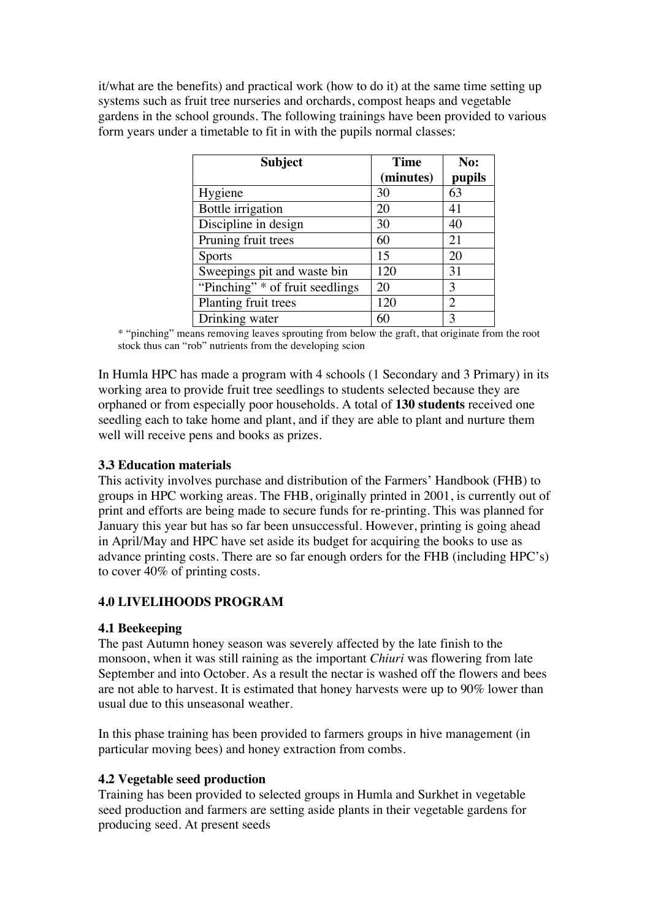it/what are the benefits) and practical work (how to do it) at the same time setting up systems such as fruit tree nurseries and orchards, compost heaps and vegetable gardens in the school grounds. The following trainings have been provided to various form years under a timetable to fit in with the pupils normal classes:

| <b>Subject</b>                  | <b>Time</b> | No:            |
|---------------------------------|-------------|----------------|
|                                 | (minutes)   | pupils         |
| Hygiene                         | 30          | 63             |
| Bottle irrigation               | 20          | 41             |
| Discipline in design            | 30          | 40             |
| Pruning fruit trees             | 60          | 21             |
| <b>Sports</b>                   | 15          | 20             |
| Sweepings pit and waste bin     | 120         | 31             |
| "Pinching" * of fruit seedlings | 20          | 3              |
| Planting fruit trees            | 120         | $\overline{2}$ |
| Drinking water                  | 60          | 3              |

\* "pinching" means removing leaves sprouting from below the graft, that originate from the root stock thus can "rob" nutrients from the developing scion

In Humla HPC has made a program with 4 schools (1 Secondary and 3 Primary) in its working area to provide fruit tree seedlings to students selected because they are orphaned or from especially poor households. A total of **130 students** received one seedling each to take home and plant, and if they are able to plant and nurture them well will receive pens and books as prizes.

#### **3.3 Education materials**

This activity involves purchase and distribution of the Farmers' Handbook (FHB) to groups in HPC working areas. The FHB, originally printed in 2001, is currently out of print and efforts are being made to secure funds for re-printing. This was planned for January this year but has so far been unsuccessful. However, printing is going ahead in April/May and HPC have set aside its budget for acquiring the books to use as advance printing costs. There are so far enough orders for the FHB (including HPC's) to cover 40% of printing costs.

# **4.0 LIVELIHOODS PROGRAM**

#### **4.1 Beekeeping**

The past Autumn honey season was severely affected by the late finish to the monsoon, when it was still raining as the important *Chiuri* was flowering from late September and into October. As a result the nectar is washed off the flowers and bees are not able to harvest. It is estimated that honey harvests were up to 90% lower than usual due to this unseasonal weather.

In this phase training has been provided to farmers groups in hive management (in particular moving bees) and honey extraction from combs.

#### **4.2 Vegetable seed production**

Training has been provided to selected groups in Humla and Surkhet in vegetable seed production and farmers are setting aside plants in their vegetable gardens for producing seed. At present seeds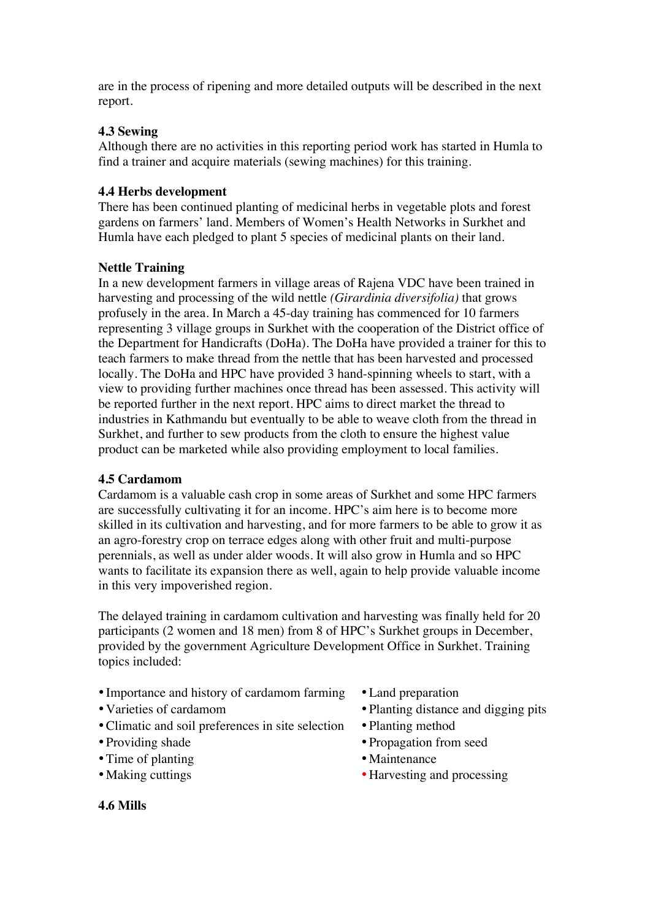are in the process of ripening and more detailed outputs will be described in the next report.

# **4.3 Sewing**

Although there are no activities in this reporting period work has started in Humla to find a trainer and acquire materials (sewing machines) for this training.

#### **4.4 Herbs development**

There has been continued planting of medicinal herbs in vegetable plots and forest gardens on farmers' land. Members of Women's Health Networks in Surkhet and Humla have each pledged to plant 5 species of medicinal plants on their land.

# **Nettle Training**

In a new development farmers in village areas of Rajena VDC have been trained in harvesting and processing of the wild nettle *(Girardinia diversifolia)* that grows profusely in the area. In March a 45-day training has commenced for 10 farmers representing 3 village groups in Surkhet with the cooperation of the District office of the Department for Handicrafts (DoHa). The DoHa have provided a trainer for this to teach farmers to make thread from the nettle that has been harvested and processed locally. The DoHa and HPC have provided 3 hand-spinning wheels to start, with a view to providing further machines once thread has been assessed. This activity will be reported further in the next report. HPC aims to direct market the thread to industries in Kathmandu but eventually to be able to weave cloth from the thread in Surkhet, and further to sew products from the cloth to ensure the highest value product can be marketed while also providing employment to local families.

#### **4.5 Cardamom**

Cardamom is a valuable cash crop in some areas of Surkhet and some HPC farmers are successfully cultivating it for an income. HPC's aim here is to become more skilled in its cultivation and harvesting, and for more farmers to be able to grow it as an agro-forestry crop on terrace edges along with other fruit and multi-purpose perennials, as well as under alder woods. It will also grow in Humla and so HPC wants to facilitate its expansion there as well, again to help provide valuable income in this very impoverished region.

The delayed training in cardamom cultivation and harvesting was finally held for 20 participants (2 women and 18 men) from 8 of HPC's Surkhet groups in December, provided by the government Agriculture Development Office in Surkhet. Training topics included:

- Importance and history of cardamom farming Land preparation
- 
- Climatic and soil preferences in site selection Planting method
- 
- Time of planting Maintenance
- 
- 
- Varieties of cardamom Planting distance and digging pits
	-
- Providing shade Propagation from seed
	-
- Making cuttings Harvesting and processing

**4.6 Mills**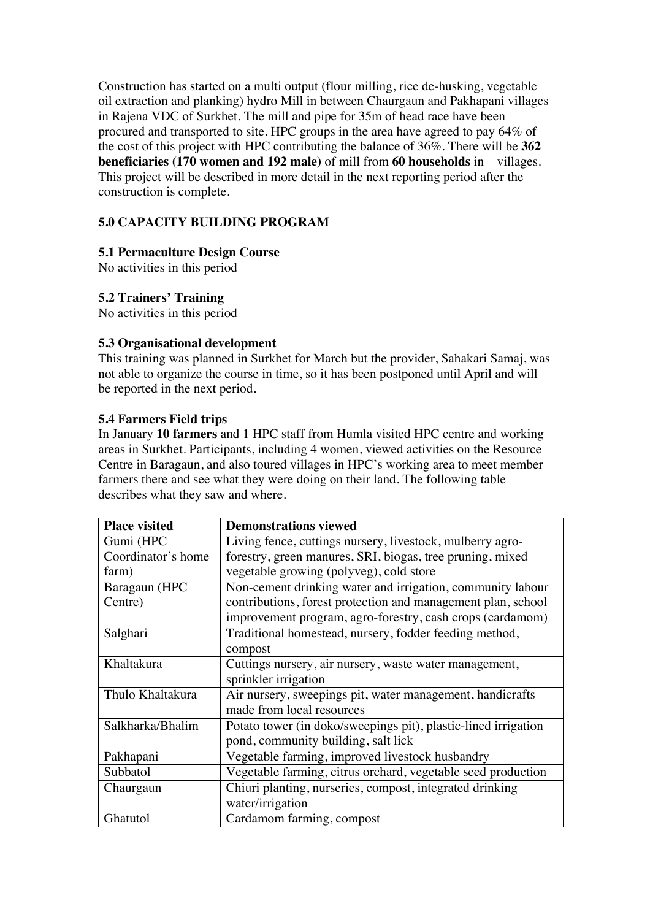Construction has started on a multi output (flour milling, rice de-husking, vegetable oil extraction and planking) hydro Mill in between Chaurgaun and Pakhapani villages in Rajena VDC of Surkhet. The mill and pipe for 35m of head race have been procured and transported to site. HPC groups in the area have agreed to pay 64% of the cost of this project with HPC contributing the balance of 36%. There will be **362 beneficiaries (170 women and 192 male)** of mill from **60 households** in villages. This project will be described in more detail in the next reporting period after the construction is complete.

# **5.0 CAPACITY BUILDING PROGRAM**

#### **5.1 Permaculture Design Course**

No activities in this period

#### **5.2 Trainers' Training**

No activities in this period

#### **5.3 Organisational development**

This training was planned in Surkhet for March but the provider, Sahakari Samaj, was not able to organize the course in time, so it has been postponed until April and will be reported in the next period.

#### **5.4 Farmers Field trips**

In January **10 farmers** and 1 HPC staff from Humla visited HPC centre and working areas in Surkhet. Participants, including 4 women, viewed activities on the Resource Centre in Baragaun, and also toured villages in HPC's working area to meet member farmers there and see what they were doing on their land. The following table describes what they saw and where.

| <b>Place visited</b> | <b>Demonstrations viewed</b>                                   |
|----------------------|----------------------------------------------------------------|
| Gumi (HPC            | Living fence, cuttings nursery, livestock, mulberry agro-      |
| Coordinator's home   | forestry, green manures, SRI, biogas, tree pruning, mixed      |
| farm)                | vegetable growing (polyveg), cold store                        |
| Baragaun (HPC        | Non-cement drinking water and irrigation, community labour     |
| Centre)              | contributions, forest protection and management plan, school   |
|                      | improvement program, agro-forestry, cash crops (cardamom)      |
| Salghari             | Traditional homestead, nursery, fodder feeding method,         |
|                      | compost                                                        |
| Khaltakura           | Cuttings nursery, air nursery, waste water management,         |
|                      | sprinkler irrigation                                           |
| Thulo Khaltakura     | Air nursery, sweepings pit, water management, handicrafts      |
|                      | made from local resources                                      |
| Salkharka/Bhalim     | Potato tower (in doko/sweepings pit), plastic-lined irrigation |
|                      | pond, community building, salt lick                            |
| Pakhapani            | Vegetable farming, improved livestock husbandry                |
| Subbatol             | Vegetable farming, citrus orchard, vegetable seed production   |
| Chaurgaun            | Chiuri planting, nurseries, compost, integrated drinking       |
|                      | water/irrigation                                               |
| Ghatutol             | Cardamom farming, compost                                      |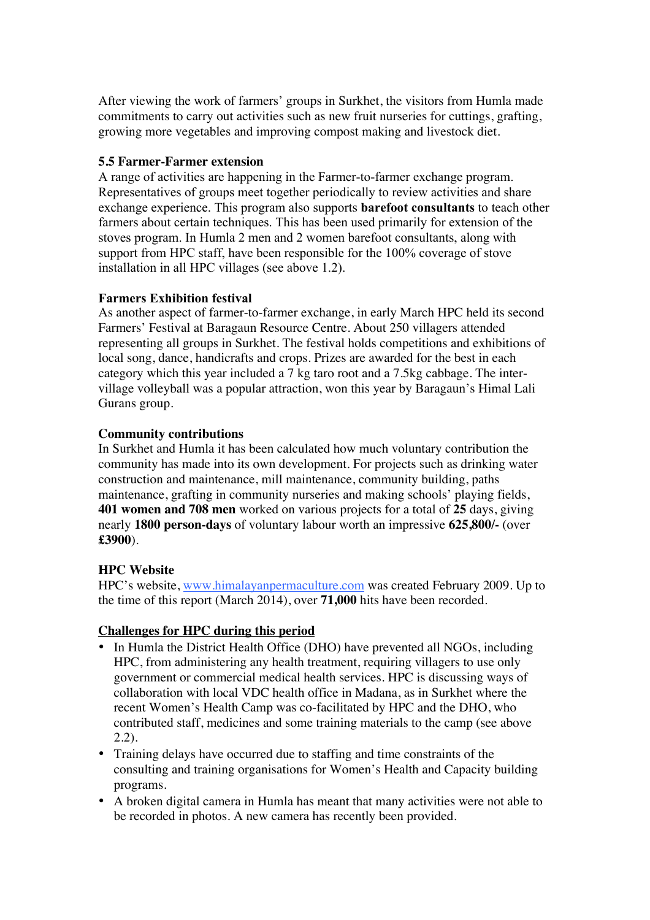After viewing the work of farmers' groups in Surkhet, the visitors from Humla made commitments to carry out activities such as new fruit nurseries for cuttings, grafting, growing more vegetables and improving compost making and livestock diet.

#### **5.5 Farmer-Farmer extension**

A range of activities are happening in the Farmer-to-farmer exchange program. Representatives of groups meet together periodically to review activities and share exchange experience. This program also supports **barefoot consultants** to teach other farmers about certain techniques. This has been used primarily for extension of the stoves program. In Humla 2 men and 2 women barefoot consultants, along with support from HPC staff, have been responsible for the 100% coverage of stove installation in all HPC villages (see above 1.2).

#### **Farmers Exhibition festival**

As another aspect of farmer-to-farmer exchange, in early March HPC held its second Farmers' Festival at Baragaun Resource Centre. About 250 villagers attended representing all groups in Surkhet. The festival holds competitions and exhibitions of local song, dance, handicrafts and crops. Prizes are awarded for the best in each category which this year included a 7 kg taro root and a 7.5kg cabbage. The intervillage volleyball was a popular attraction, won this year by Baragaun's Himal Lali Gurans group.

#### **Community contributions**

In Surkhet and Humla it has been calculated how much voluntary contribution the community has made into its own development. For projects such as drinking water construction and maintenance, mill maintenance, community building, paths maintenance, grafting in community nurseries and making schools' playing fields, **401 women and 708 men** worked on various projects for a total of **25** days, giving nearly **1800 person-days** of voluntary labour worth an impressive **625,800/-** (over **£3900**).

# **HPC Website**

HPC's website, www.himalayanpermaculture.com was created February 2009. Up to the time of this report (March 2014), over **71,000** hits have been recorded.

# **Challenges for HPC during this period**

- In Humla the District Health Office (DHO) have prevented all NGOs, including HPC, from administering any health treatment, requiring villagers to use only government or commercial medical health services. HPC is discussing ways of collaboration with local VDC health office in Madana, as in Surkhet where the recent Women's Health Camp was co-facilitated by HPC and the DHO, who contributed staff, medicines and some training materials to the camp (see above 2.2).
- Training delays have occurred due to staffing and time constraints of the consulting and training organisations for Women's Health and Capacity building programs.
- A broken digital camera in Humla has meant that many activities were not able to be recorded in photos. A new camera has recently been provided.